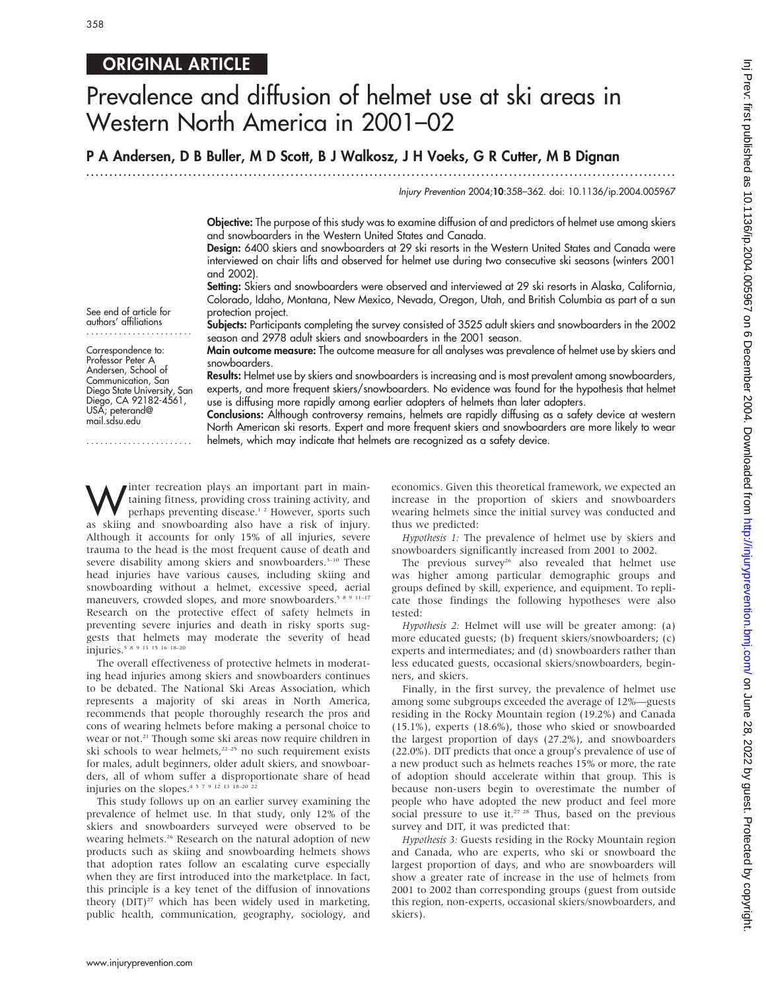# ORIGINAL ARTICLE

# Prevalence and diffusion of helmet use at ski areas in Western North America in 2001–02

# P A Andersen, D B Buller, M D Scott, B J Walkosz, J H Voeks, G R Cutter, M B Dignan

...............................................................................................................................

Injury Prevention 2004;10:358–362. doi: 10.1136/ip.2004.005967

Objective: The purpose of this study was to examine diffusion of and predictors of helmet use among skiers and snowboarders in the Western United States and Canada.

Design: 6400 skiers and snowboarders at 29 ski resorts in the Western United States and Canada were interviewed on chair lifts and observed for helmet use during two consecutive ski seasons (winters 2001 and 2002).

Setting: Skiers and snowboarders were observed and interviewed at 29 ski resorts in Alaska, California, Colorado, Idaho, Montana, New Mexico, Nevada, Oregon, Utah, and British Columbia as part of a sun protection project.

Subjects: Participants completing the survey consisted of 3525 adult skiers and snowboarders in the 2002 season and 2978 adult skiers and snowboarders in the 2001 season.

Main outcome measure: The outcome measure for all analyses was prevalence of helmet use by skiers and snowboarders.

Results: Helmet use by skiers and snowboarders is increasing and is most prevalent among snowboarders, experts, and more frequent skiers/snowboarders. No evidence was found for the hypothesis that helmet use is diffusing more rapidly among earlier adopters of helmets than later adopters.

Conclusions: Although controversy remains, helmets are rapidly diffusing as a safety device at western North American ski resorts. Expert and more frequent skiers and snowboarders are more likely to wear helmets, which may indicate that helmets are recognized as a safety device.

Winter recreation plays an important part in main-<br>taining fitness, providing cross training activity, and<br>perhaps preventing disease.<sup>1,2</sup> However, sports such<br>as clinics and enourhoarding also have a right of injury. taining fitness, providing cross training activity, and perhaps preventing disease.<sup>12</sup> However, sports such as skiing and snowboarding also have a risk of injury. Although it accounts for only 15% of all injuries, severe trauma to the head is the most frequent cause of death and severe disability among skiers and snowboarders.<sup>3-10</sup> These head injuries have various causes, including skiing and snowboarding without a helmet, excessive speed, aerial maneuvers, crowded slopes, and more snowboarders.<sup>5 8 9 11-17</sup> Research on the protective effect of safety helmets in preventing severe injuries and death in risky sports suggests that helmets may moderate the severity of head injuries.<sup>5</sup> 8 9 13 15 16 18-20

The overall effectiveness of protective helmets in moderating head injuries among skiers and snowboarders continues to be debated. The National Ski Areas Association, which represents a majority of ski areas in North America, recommends that people thoroughly research the pros and cons of wearing helmets before making a personal choice to wear or not.<sup>21</sup> Though some ski areas now require children in ski schools to wear helmets, $22-25$  no such requirement exists for males, adult beginners, older adult skiers, and snowboarders, all of whom suffer a disproportionate share of head injuries on the slopes.4 5 7 9 12 13 18–20 22

This study follows up on an earlier survey examining the prevalence of helmet use. In that study, only 12% of the skiers and snowboarders surveyed were observed to be wearing helmets.<sup>26</sup> Research on the natural adoption of new products such as skiing and snowboarding helmets shows that adoption rates follow an escalating curve especially when they are first introduced into the marketplace. In fact, this principle is a key tenet of the diffusion of innovations theory  $(DIT)^{27}$  which has been widely used in marketing, public health, communication, geography, sociology, and economics. Given this theoretical framework, we expected an increase in the proportion of skiers and snowboarders wearing helmets since the initial survey was conducted and thus we predicted:

Hypothesis 1: The prevalence of helmet use by skiers and snowboarders significantly increased from 2001 to 2002.

The previous survey<sup>26</sup> also revealed that helmet use was higher among particular demographic groups and groups defined by skill, experience, and equipment. To replicate those findings the following hypotheses were also tested:

Hypothesis 2: Helmet will use will be greater among: (a) more educated guests; (b) frequent skiers/snowboarders; (c) experts and intermediates; and (d) snowboarders rather than less educated guests, occasional skiers/snowboarders, beginners, and skiers.

Finally, in the first survey, the prevalence of helmet use among some subgroups exceeded the average of 12%—guests residing in the Rocky Mountain region (19.2%) and Canada (15.1%), experts (18.6%), those who skied or snowboarded the largest proportion of days (27.2%), and snowboarders (22.0%). DIT predicts that once a group's prevalence of use of a new product such as helmets reaches 15% or more, the rate of adoption should accelerate within that group. This is because non-users begin to overestimate the number of people who have adopted the new product and feel more social pressure to use it.<sup>27 28</sup> Thus, based on the previous survey and DIT, it was predicted that:

Hypothesis 3: Guests residing in the Rocky Mountain region and Canada, who are experts, who ski or snowboard the largest proportion of days, and who are snowboarders will show a greater rate of increase in the use of helmets from 2001 to 2002 than corresponding groups (guest from outside this region, non-experts, occasional skiers/snowboarders, and skiers).

www.injuryprevention.com

Correspondence to: Professor Peter A Andersen, School of Communication, San Diego State University, San Diego, CA 92182-4561, USA; peterand@

.......................

mail.sdsu.edu

See end of article for authors' affiliations .......................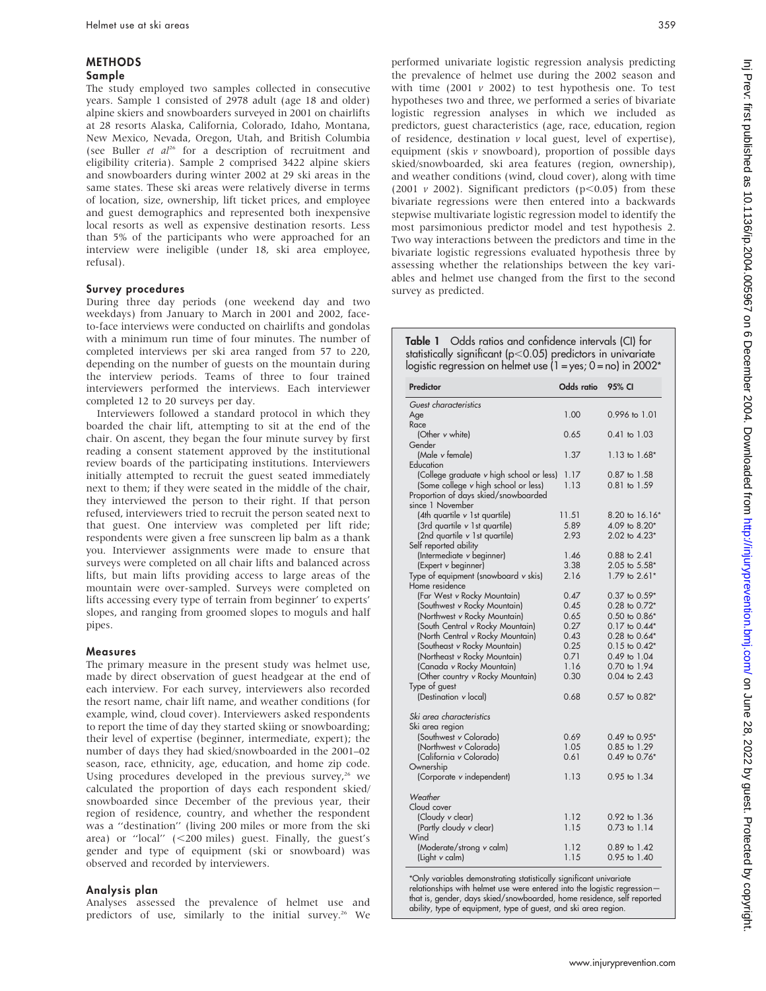# METHODS

# Sample

The study employed two samples collected in consecutive years. Sample 1 consisted of 2978 adult (age 18 and older) alpine skiers and snowboarders surveyed in 2001 on chairlifts at 28 resorts Alaska, California, Colorado, Idaho, Montana, New Mexico, Nevada, Oregon, Utah, and British Columbia (see Buller et  $aI<sup>26</sup>$  for a description of recruitment and eligibility criteria). Sample 2 comprised 3422 alpine skiers and snowboarders during winter 2002 at 29 ski areas in the same states. These ski areas were relatively diverse in terms of location, size, ownership, lift ticket prices, and employee and guest demographics and represented both inexpensive local resorts as well as expensive destination resorts. Less than 5% of the participants who were approached for an interview were ineligible (under 18, ski area employee, refusal).

## Survey procedures

During three day periods (one weekend day and two weekdays) from January to March in 2001 and 2002, faceto-face interviews were conducted on chairlifts and gondolas with a minimum run time of four minutes. The number of completed interviews per ski area ranged from 57 to 220, depending on the number of guests on the mountain during the interview periods. Teams of three to four trained interviewers performed the interviews. Each interviewer completed 12 to 20 surveys per day.

Interviewers followed a standard protocol in which they boarded the chair lift, attempting to sit at the end of the chair. On ascent, they began the four minute survey by first reading a consent statement approved by the institutional review boards of the participating institutions. Interviewers initially attempted to recruit the guest seated immediately next to them; if they were seated in the middle of the chair, they interviewed the person to their right. If that person refused, interviewers tried to recruit the person seated next to that guest. One interview was completed per lift ride; respondents were given a free sunscreen lip balm as a thank you. Interviewer assignments were made to ensure that surveys were completed on all chair lifts and balanced across lifts, but main lifts providing access to large areas of the mountain were over-sampled. Surveys were completed on lifts accessing every type of terrain from beginner' to experts' slopes, and ranging from groomed slopes to moguls and half pipes.

### Measures

The primary measure in the present study was helmet use, made by direct observation of guest headgear at the end of each interview. For each survey, interviewers also recorded the resort name, chair lift name, and weather conditions (for example, wind, cloud cover). Interviewers asked respondents to report the time of day they started skiing or snowboarding; their level of expertise (beginner, intermediate, expert); the number of days they had skied/snowboarded in the 2001–02 season, race, ethnicity, age, education, and home zip code. Using procedures developed in the previous survey, $26$  we calculated the proportion of days each respondent skied/ snowboarded since December of the previous year, their region of residence, country, and whether the respondent was a ''destination'' (living 200 miles or more from the ski area) or " $local"$  (<200 miles) guest. Finally, the guest's gender and type of equipment (ski or snowboard) was observed and recorded by interviewers.

# Analysis plan

Analyses assessed the prevalence of helmet use and predictors of use, similarly to the initial survey.<sup>26</sup> We performed univariate logistic regression analysis predicting the prevalence of helmet use during the 2002 season and with time  $(2001 \ v \ 2002)$  to test hypothesis one. To test hypotheses two and three, we performed a series of bivariate logistic regression analyses in which we included as predictors, guest characteristics (age, race, education, region of residence, destination  $\nu$  local guest, level of expertise), equipment (skis  $v$  snowboard), proportion of possible days skied/snowboarded, ski area features (region, ownership), and weather conditions (wind, cloud cover), along with time (2001  $\nu$  2002). Significant predictors (p $\leq$ 0.05) from these bivariate regressions were then entered into a backwards stepwise multivariate logistic regression model to identify the most parsimonious predictor model and test hypothesis 2. Two way interactions between the predictors and time in the bivariate logistic regressions evaluated hypothesis three by assessing whether the relationships between the key variables and helmet use changed from the first to the second survey as predicted.

Table 1 Odds ratios and confidence intervals (CI) for statistically significant  $(p<0.05)$  predictors in univariate logistic regression on helmet use  $(1 = yes; 0 = no)$  in 2002\*

| Predictor                                | Odds ratio | 95% CI            |
|------------------------------------------|------------|-------------------|
| Guest characteristics                    |            |                   |
| Age                                      | 1.00       | 0.996 to 1.01     |
| Race                                     |            |                   |
| (Other v white)                          | 0.65       | $0.41$ to $1.03$  |
| Gender                                   |            |                   |
| (Male v female)                          | 1.37       | $1.13$ to $1.68*$ |
| Education                                |            |                   |
| (College graduate v high school or less) | 1.17       | 0.87 to 1.58      |
| (Some college v high school or less)     | 1.13       | 0.81 to 1.59      |
| Proportion of days skied/snowboarded     |            |                   |
| since 1 November                         |            |                   |
| (4th quartile v 1st quartile)            | 11.51      | 8.20 to 16.16*    |
| (3rd quartile v 1st quartile)            | 5.89       | 4.09 to 8.20*     |
| (2nd quartile v 1st quartile)            | 2.93       | 2.02 to 4.23*     |
| Self reported ability                    |            |                   |
| (Intermediate v beginner)                | 1.46       | 0.88 to 2.41      |
| (Expert v beginner)                      | 3.38       | $2.05$ to $5.58*$ |
| Type of equipment (snowboard v skis)     | 2.16       | 1.79 to 2.61*     |
| Home residence                           |            |                   |
| (Far West v Rocky Mountain)              | 0.47       | 0.37 to 0.59*     |
| (Southwest v Rocky Mountain)             | 0.45       | $0.28$ to $0.72*$ |
| (Northwest v Rocky Mountain)             | 0.65       | $0.50$ to $0.86*$ |
| (South Central v Rocky Mountain)         | 0.27       | 0.17 to 0.44*     |
| (North Central v Rocky Mountain)         | 0.43       | $0.28$ to $0.64*$ |
| (Southeast v Rocky Mountain)             | 0.25       | $0.15$ to $0.42*$ |
| (Northeast v Rocky Mountain)             | 0.71       | 0.49 to 1.04      |
| (Canada v Rocky Mountain)                | 1.16       | 0.70 to 1.94      |
| (Other country v Rocky Mountain)         | 0.30       | 0.04 to 2.43      |
| Type of guest                            |            |                   |
| (Destination v local)                    | 0.68       | $0.57$ to $0.82*$ |
|                                          |            |                   |
| Ski area characteristics                 |            |                   |
| Ski area region                          |            |                   |
| (Southwest v Colorado)                   | 0.69       | 0.49 to 0.95*     |
| (Northwest v Colorado)                   | 1.05       | 0.85 to 1.29      |
| (California v Colorado)                  | 0.61       | $0.49$ to $0.76*$ |
| Ownership                                |            |                   |
| (Corporate v independent)                | 1.13       | 0.95 to 1.34      |
| Weather                                  |            |                   |
| Cloud cover                              |            |                   |
| (Cloudy v clear)                         | 1.12       | 0.92 to 1.36      |
| (Partly cloudy v clear)                  | 1.15       | $0.73$ to $1.14$  |
| Wind                                     |            |                   |
| (Moderate/strong v calm)                 | 1.12       | 0.89 to 1.42      |
| (Light v calm)                           | 1.15       | 0.95 to 1.40      |
|                                          |            |                   |

\*Only variables demonstrating statistically significant univariate relationships with helmet use were entered into the logistic regression that is, gender, days skied/snowboarded, home residence, self reported ability, type of equipment, type of guest, and ski area region.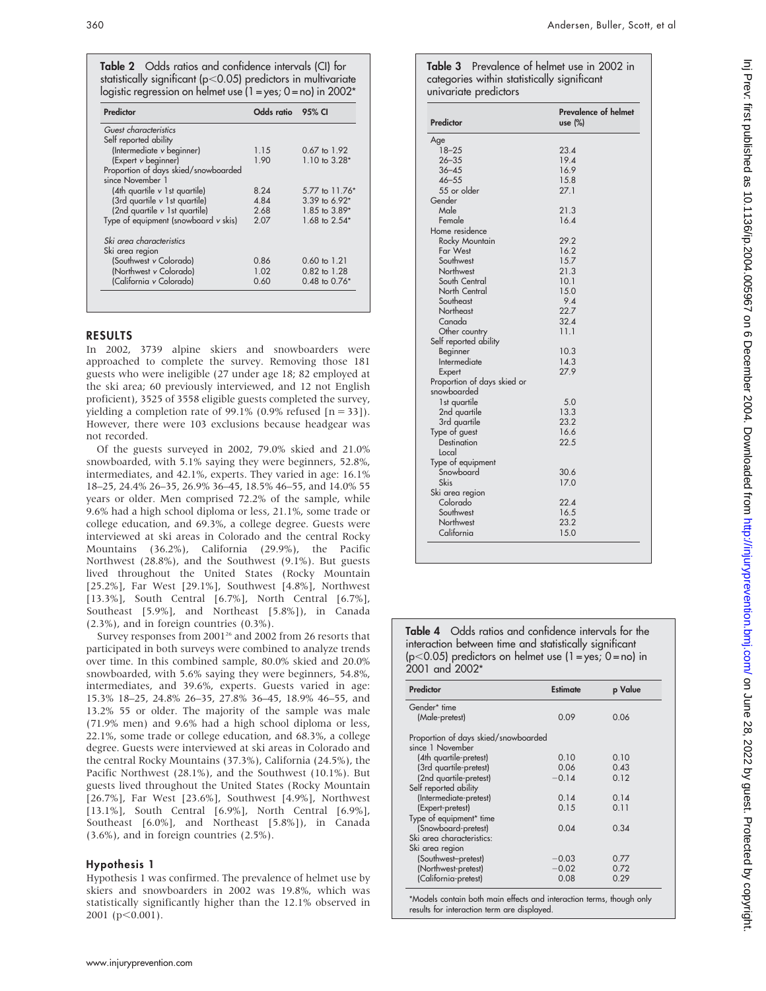Table 2 Odds ratios and confidence intervals (CI) for statistically significant ( $p$ <0.05) predictors in multivariate logistic regression on helmet use  $(1 = yes; 0 = no)$  in 2002\*

| Predictor                                                | Odds ratio 95% CI |                         |
|----------------------------------------------------------|-------------------|-------------------------|
| Guest characteristics                                    |                   |                         |
| Self reported ability                                    |                   |                         |
| (Intermediate v beginner)                                | 1.15              | $0.67 \text{ to } 1.92$ |
| (Expert v beginner)                                      | 1.90              | 1.10 to $3.28*$         |
| Proportion of days skied/snowboarded<br>since November 1 |                   |                         |
| (4th quartile v 1st quartile)                            | 8.24              | 5.77 to 11.76*          |
| (3rd quartile v 1 st quartile)                           | 4.84              | $3.39$ to 6.92*         |
| (2nd quartile v 1st quartile)                            | 2.68              | 1.85 to 3.89*           |
| Type of equipment (snowboard v skis)                     | 2.07              | 1.68 to 2.54*           |
| Ski area characteristics                                 |                   |                         |
| Ski area region                                          |                   |                         |
| (Southwest v Colorado)                                   | 0.86              | $0.60$ to $1.21$        |
| (Northwest v Colorado)                                   | 1.02              | 0.82 to 1.28            |
| (California v Colorado)                                  | 0.60              | $0.48$ to $0.76*$       |

# RESULTS

In 2002, 3739 alpine skiers and snowboarders were approached to complete the survey. Removing those 181 guests who were ineligible (27 under age 18; 82 employed at the ski area; 60 previously interviewed, and 12 not English proficient), 3525 of 3558 eligible guests completed the survey, yielding a completion rate of 99.1% (0.9% refused  $[n = 33]$ ). However, there were 103 exclusions because headgear was not recorded.

Of the guests surveyed in 2002, 79.0% skied and 21.0% snowboarded, with 5.1% saying they were beginners, 52.8%, intermediates, and 42.1%, experts. They varied in age: 16.1% 18–25, 24.4% 26–35, 26.9% 36–45, 18.5% 46–55, and 14.0% 55 years or older. Men comprised 72.2% of the sample, while 9.6% had a high school diploma or less, 21.1%, some trade or college education, and 69.3%, a college degree. Guests were interviewed at ski areas in Colorado and the central Rocky Mountains (36.2%), California (29.9%), the Pacific Northwest (28.8%), and the Southwest (9.1%). But guests lived throughout the United States (Rocky Mountain [25.2%], Far West [29.1%], Southwest [4.8%], Northwest [13.3%], South Central [6.7%], North Central [6.7%], Southeast [5.9%], and Northeast [5.8%]), in Canada (2.3%), and in foreign countries (0.3%).

Survey responses from 2001<sup>26</sup> and 2002 from 26 resorts that participated in both surveys were combined to analyze trends over time. In this combined sample, 80.0% skied and 20.0% snowboarded, with 5.6% saying they were beginners, 54.8%, intermediates, and 39.6%, experts. Guests varied in age: 15.3% 18–25, 24.8% 26–35, 27.8% 36–45, 18.9% 46–55, and 13.2% 55 or older. The majority of the sample was male (71.9% men) and 9.6% had a high school diploma or less, 22.1%, some trade or college education, and 68.3%, a college degree. Guests were interviewed at ski areas in Colorado and the central Rocky Mountains (37.3%), California (24.5%), the Pacific Northwest (28.1%), and the Southwest (10.1%). But guests lived throughout the United States (Rocky Mountain [26.7%], Far West [23.6%], Southwest [4.9%], Northwest [13.1%], South Central [6.9%], North Central [6.9%], Southeast [6.0%], and Northeast [5.8%]), in Canada  $(3.6\%)$ , and in foreign countries  $(2.5\%)$ .

# Hypothesis 1

Hypothesis 1 was confirmed. The prevalence of helmet use by skiers and snowboarders in 2002 was 19.8%, which was statistically significantly higher than the 12.1% observed in  $2001$  (p $<0.001$ ).

Table 3 Prevalence of helmet use in 2002 in categories within statistically significant univariate predictors

| <b>Predictor</b>            | Prevalence of helmet<br>use (%) |
|-----------------------------|---------------------------------|
| Age                         |                                 |
| $18 - 25$                   | 23.4                            |
| $26 - 35$                   | 19.4                            |
| $36 - 45$                   | 16.9                            |
| $46 - 55$                   | 15.8                            |
| 55 or older                 | 27.1                            |
| Gender                      |                                 |
| Male                        | 21.3                            |
| Female                      | 16.4                            |
| Home residence              |                                 |
| Rocky Mountain              | 29.2                            |
| Far West                    | 16.2                            |
| Southwest                   | 15.7                            |
| Northwest                   | 21.3                            |
| South Central               | 10.1                            |
| North Central               | 15.0                            |
| Southeast                   | 9.4                             |
| Northeast                   | 22.7                            |
| Canada                      | 32.4                            |
| Other country               | 11.1                            |
| Self reported ability       |                                 |
| Beginner                    | 10.3                            |
| Intermediate                | 14.3                            |
| Expert                      | 27.9                            |
| Proportion of days skied or |                                 |
| snowboarded                 |                                 |
| 1st quartile                | 5.0                             |
| 2nd quartile                | 13.3                            |
| 3rd quartile                | 23.2                            |
| Type of guest               | 16.6                            |
| Destination                 | 22.5                            |
| Local                       |                                 |
| Type of equipment           |                                 |
| Snowboard                   | 30.6                            |
| Skis                        | 17.0                            |
| Ski area region             |                                 |
| Colorado                    | 22.4                            |
| Southwest                   | 16.5                            |
| Northwest                   | 23.2                            |
| California                  | 15.0                            |

Table 4 Odds ratios and confidence intervals for the interaction between time and statistically significant  $(p<0.05)$  predictors on helmet use  $(1 = yes; 0 = no)$  in 2001 and 2002\*

| Predictor                            | <b>Estimate</b> | p Value |
|--------------------------------------|-----------------|---------|
| Gender* time                         |                 |         |
| (Male-pretest)                       | 0.09            | 0.06    |
| Proportion of days skied/snowboarded |                 |         |
| since 1 November                     |                 |         |
| (4th quartile-pretest)               | 0.10            | 0.10    |
| (3rd quartile-pretest)               | 0.06            | 0.43    |
| (2nd quartile-pretest)               | $-0.14$         | 0.12    |
| Self reported ability                |                 |         |
| (Intermediate-pretest)               | 0.14            | 0.14    |
| (Expert-pretest)                     | 0.15            | 0.11    |
| Type of equipment* time              |                 |         |
| (Snowboard-pretest)                  | 0.04            | 0.34    |
| Ski area characteristics:            |                 |         |
| Ski area region                      |                 |         |
| (Southwest-pretest)                  | $-0.03$         | 0.77    |
| (Northwest-pretest)                  | $-0.02$         | 0.72    |
| (California-pretest)                 | 0.08            | 0.29    |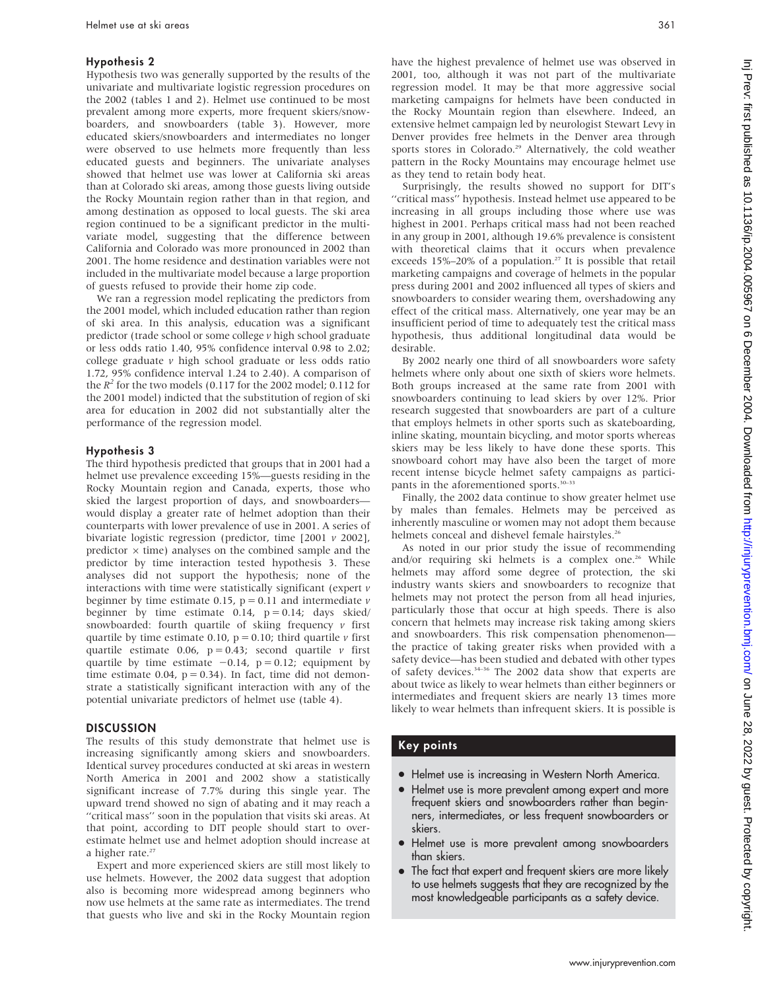## Hypothesis 2

Hypothesis two was generally supported by the results of the univariate and multivariate logistic regression procedures on the 2002 (tables 1 and 2). Helmet use continued to be most prevalent among more experts, more frequent skiers/snowboarders, and snowboarders (table 3). However, more educated skiers/snowboarders and intermediates no longer were observed to use helmets more frequently than less educated guests and beginners. The univariate analyses showed that helmet use was lower at California ski areas than at Colorado ski areas, among those guests living outside the Rocky Mountain region rather than in that region, and among destination as opposed to local guests. The ski area region continued to be a significant predictor in the multivariate model, suggesting that the difference between California and Colorado was more pronounced in 2002 than 2001. The home residence and destination variables were not included in the multivariate model because a large proportion of guests refused to provide their home zip code.

We ran a regression model replicating the predictors from the 2001 model, which included education rather than region of ski area. In this analysis, education was a significant predictor (trade school or some college v high school graduate or less odds ratio 1.40, 95% confidence interval 0.98 to 2.02; college graduate  $\nu$  high school graduate or less odds ratio 1.72, 95% confidence interval 1.24 to 2.40). A comparison of the  $R^2$  for the two models (0.117 for the 2002 model; 0.112 for the 2001 model) indicted that the substitution of region of ski area for education in 2002 did not substantially alter the performance of the regression model.

#### Hypothesis 3

The third hypothesis predicted that groups that in 2001 had a helmet use prevalence exceeding 15%—guests residing in the Rocky Mountain region and Canada, experts, those who skied the largest proportion of days, and snowboarders would display a greater rate of helmet adoption than their counterparts with lower prevalence of use in 2001. A series of bivariate logistic regression (predictor, time [2001 v 2002], predictor  $\times$  time) analyses on the combined sample and the predictor by time interaction tested hypothesis 3. These analyses did not support the hypothesis; none of the interactions with time were statistically significant (expert  $\nu$ ) beginner by time estimate 0.15,  $p = 0.11$  and intermediate  $\nu$ beginner by time estimate 0.14,  $p = 0.14$ ; days skied/ snowboarded: fourth quartile of skiing frequency  $\nu$  first quartile by time estimate 0.10,  $p = 0.10$ ; third quartile  $\nu$  first quartile estimate 0.06,  $p = 0.43$ ; second quartile v first quartile by time estimate  $-0.14$ ,  $p = 0.12$ ; equipment by time estimate 0.04,  $p = 0.34$ ). In fact, time did not demonstrate a statistically significant interaction with any of the potential univariate predictors of helmet use (table 4).

# **DISCUSSION**

The results of this study demonstrate that helmet use is increasing significantly among skiers and snowboarders. Identical survey procedures conducted at ski areas in western North America in 2001 and 2002 show a statistically significant increase of 7.7% during this single year. The upward trend showed no sign of abating and it may reach a ''critical mass'' soon in the population that visits ski areas. At that point, according to DIT people should start to overestimate helmet use and helmet adoption should increase at a higher rate.<sup>27</sup>

Expert and more experienced skiers are still most likely to use helmets. However, the 2002 data suggest that adoption also is becoming more widespread among beginners who now use helmets at the same rate as intermediates. The trend that guests who live and ski in the Rocky Mountain region have the highest prevalence of helmet use was observed in 2001, too, although it was not part of the multivariate regression model. It may be that more aggressive social marketing campaigns for helmets have been conducted in the Rocky Mountain region than elsewhere. Indeed, an extensive helmet campaign led by neurologist Stewart Levy in Denver provides free helmets in the Denver area through sports stores in Colorado.<sup>29</sup> Alternatively, the cold weather pattern in the Rocky Mountains may encourage helmet use as they tend to retain body heat.

Surprisingly, the results showed no support for DIT's ''critical mass'' hypothesis. Instead helmet use appeared to be increasing in all groups including those where use was highest in 2001. Perhaps critical mass had not been reached in any group in 2001, although 19.6% prevalence is consistent with theoretical claims that it occurs when prevalence exceeds  $15\% - 20\%$  of a population.<sup>27</sup> It is possible that retail marketing campaigns and coverage of helmets in the popular press during 2001 and 2002 influenced all types of skiers and snowboarders to consider wearing them, overshadowing any effect of the critical mass. Alternatively, one year may be an insufficient period of time to adequately test the critical mass hypothesis, thus additional longitudinal data would be desirable.

By 2002 nearly one third of all snowboarders wore safety helmets where only about one sixth of skiers wore helmets. Both groups increased at the same rate from 2001 with snowboarders continuing to lead skiers by over 12%. Prior research suggested that snowboarders are part of a culture that employs helmets in other sports such as skateboarding, inline skating, mountain bicycling, and motor sports whereas skiers may be less likely to have done these sports. This snowboard cohort may have also been the target of more recent intense bicycle helmet safety campaigns as participants in the aforementioned sports.<sup>30-33</sup>

Finally, the 2002 data continue to show greater helmet use by males than females. Helmets may be perceived as inherently masculine or women may not adopt them because helmets conceal and dishevel female hairstyles.<sup>26</sup>

As noted in our prior study the issue of recommending and/or requiring ski helmets is a complex one.<sup>26</sup> While helmets may afford some degree of protection, the ski industry wants skiers and snowboarders to recognize that helmets may not protect the person from all head injuries, particularly those that occur at high speeds. There is also concern that helmets may increase risk taking among skiers and snowboarders. This risk compensation phenomenon the practice of taking greater risks when provided with a safety device—has been studied and debated with other types of safety devices.34–36 The 2002 data show that experts are about twice as likely to wear helmets than either beginners or intermediates and frequent skiers are nearly 13 times more likely to wear helmets than infrequent skiers. It is possible is

# Key points

- Helmet use is increasing in Western North America.
- Helmet use is more prevalent among expert and more frequent skiers and snowboarders rather than beginners, intermediates, or less frequent snowboarders or skiers.
- Helmet use is more prevalent among snowboarders than skiers.
- The fact that expert and frequent skiers are more likely to use helmets suggests that they are recognized by the most knowledgeable participants as a safety device.